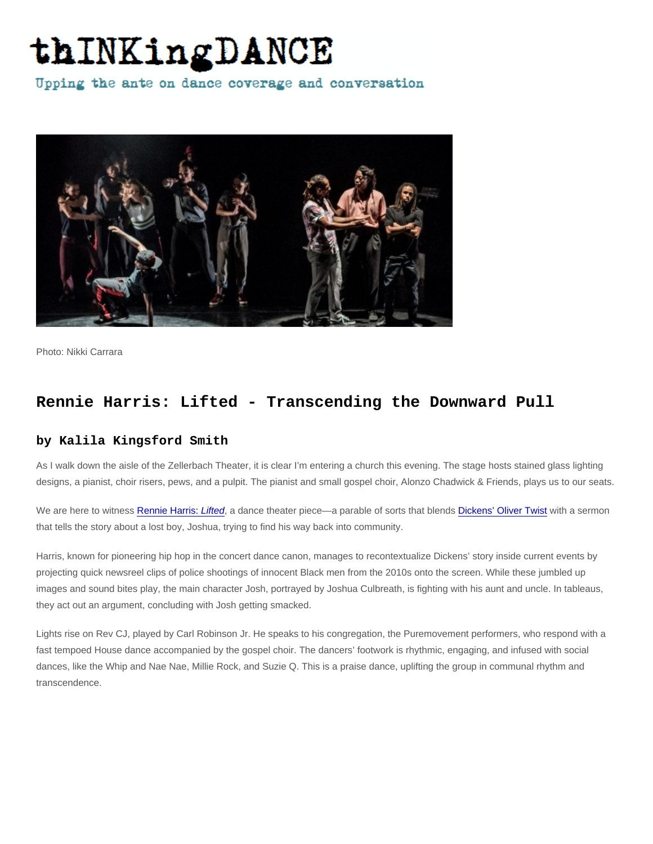Photo: Nikki Carrara

## Rennie Harris: Lifted - Transcending the Downward Pull

## by Kalila Kingsford Smith

As I walk down the aisle of the Zellerbach Theater, it is clear I'm entering a church this evening. The stage hosts stained glass lighting designs, a pianist, choir risers, pews, and a pulpit. The pianist and small gospel choir, Alonzo Chadwick & Friends, plays us to our seats.

We are here to witness [Rennie Harris: Lifted,](https://pennlivearts.org/event/rennie-harris-lifted) a dance theater piece—a parable of sorts that blends [Dickens' Oliver Twist](https://en.wikipedia.org/wiki/Oliver_Twist) with a sermon that tells the story about a lost boy, Joshua, trying to find his way back into community.

Harris, known for pioneering hip hop in the concert dance canon, manages to recontextualize Dickens' story inside current events by projecting quick newsreel clips of police shootings of innocent Black men from the 2010s onto the screen. While these jumbled up images and sound bites play, the main character Josh, portrayed by Joshua Culbreath, is fighting with his aunt and uncle. In tableaus, they act out an argument, concluding with Josh getting smacked.

Lights rise on Rev CJ, played by Carl Robinson Jr. He speaks to his congregation, the Puremovement performers, who respond with a fast tempoed House dance accompanied by the gospel choir. The dancers' footwork is rhythmic, engaging, and infused with social dances, like the Whip and Nae Nae, Millie Rock, and Suzie Q. This is a praise dance, uplifting the group in communal rhythm and transcendence.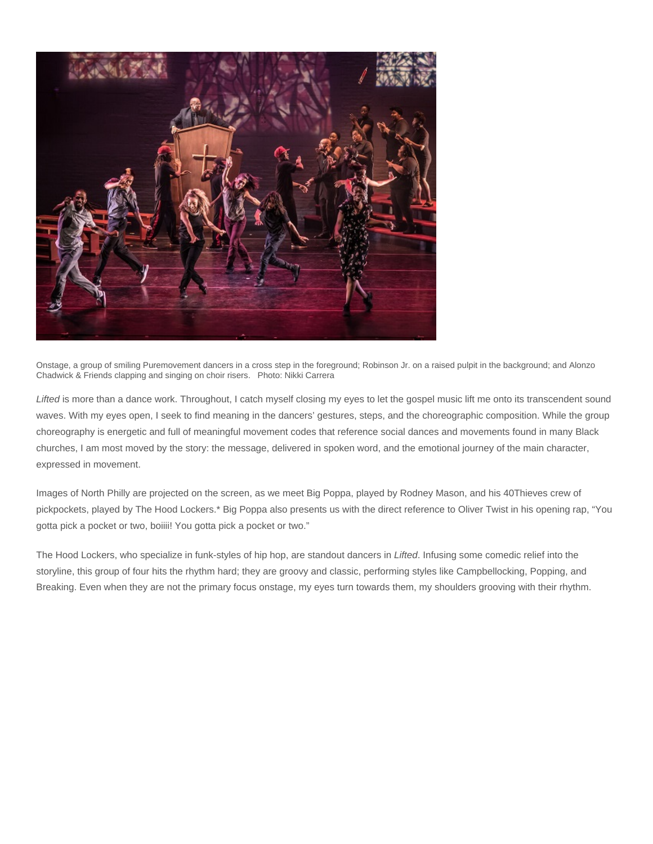

Onstage, a group of smiling Puremovement dancers in a cross step in the foreground; Robinson Jr. on a raised pulpit in the background; and Alonzo Chadwick & Friends clapping and singing on choir risers. Photo: Nikki Carrera

Lifted is more than a dance work. Throughout, I catch myself closing my eyes to let the gospel music lift me onto its transcendent sound waves. With my eyes open, I seek to find meaning in the dancers' gestures, steps, and the choreographic composition. While the group choreography is energetic and full of meaningful movement codes that reference social dances and movements found in many Black churches, I am most moved by the story: the message, delivered in spoken word, and the emotional journey of the main character, expressed in movement.

Images of North Philly are projected on the screen, as we meet Big Poppa, played by Rodney Mason, and his 40Thieves crew of pickpockets, played by The Hood Lockers.\* Big Poppa also presents us with the direct reference to Oliver Twist in his opening rap, "You gotta pick a pocket or two, boiiii! You gotta pick a pocket or two."

The Hood Lockers, who specialize in funk-styles of hip hop, are standout dancers in Lifted. Infusing some comedic relief into the storyline, this group of four hits the rhythm hard; they are groovy and classic, performing styles like Campbellocking, Popping, and Breaking. Even when they are not the primary focus onstage, my eyes turn towards them, my shoulders grooving with their rhythm.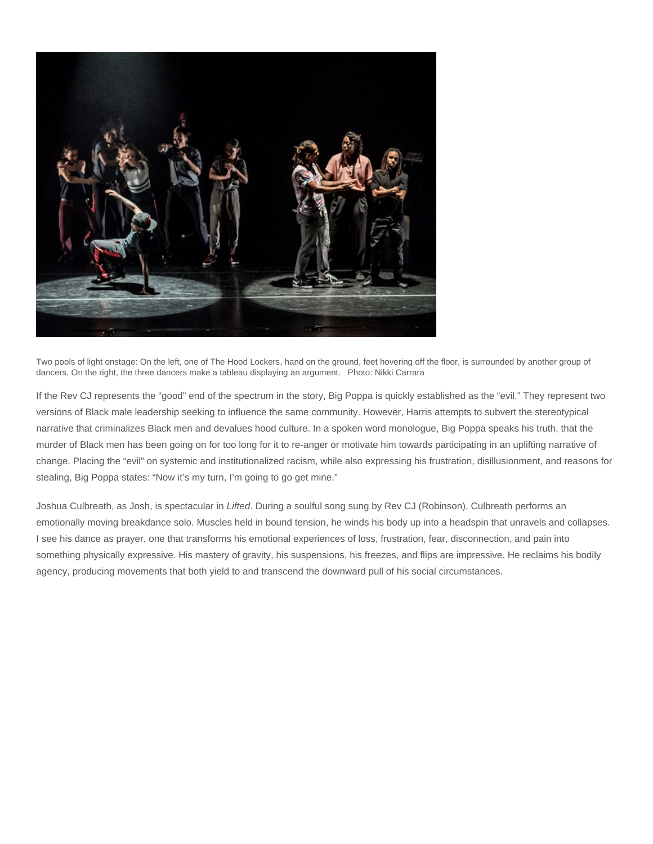

Two pools of light onstage: On the left, one of The Hood Lockers, hand on the ground, feet hovering off the floor, is surrounded by another group of dancers. On the right, the three dancers make a tableau displaying an argument. Photo: Nikki Carrara

If the Rev CJ represents the "good" end of the spectrum in the story, Big Poppa is quickly established as the "evil." They represent two versions of Black male leadership seeking to influence the same community. However, Harris attempts to subvert the stereotypical narrative that criminalizes Black men and devalues hood culture. In a spoken word monologue, Big Poppa speaks his truth, that the murder of Black men has been going on for too long for it to re-anger or motivate him towards participating in an uplifting narrative of change. Placing the "evil" on systemic and institutionalized racism, while also expressing his frustration, disillusionment, and reasons for stealing, Big Poppa states: "Now it's my turn, I'm going to go get mine."

Joshua Culbreath, as Josh, is spectacular in Lifted. During a soulful song sung by Rev CJ (Robinson), Culbreath performs an emotionally moving breakdance solo. Muscles held in bound tension, he winds his body up into a headspin that unravels and collapses. I see his dance as prayer, one that transforms his emotional experiences of loss, frustration, fear, disconnection, and pain into something physically expressive. His mastery of gravity, his suspensions, his freezes, and flips are impressive. He reclaims his bodily agency, producing movements that both yield to and transcend the downward pull of his social circumstances.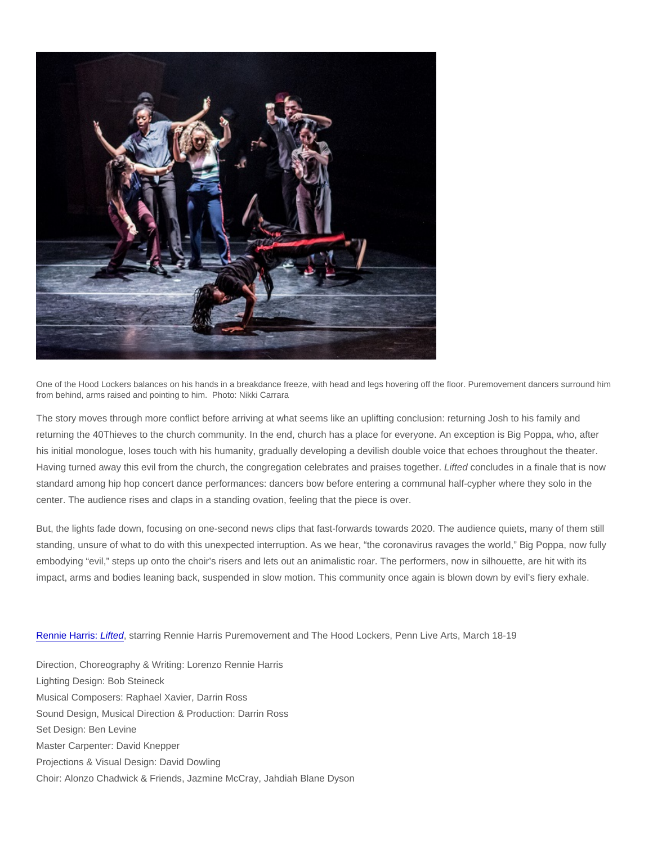One of the Hood Lockers balances on his hands in a breakdance freeze, with head and legs hovering off the floor. Puremovement dancers surround him from behind, arms raised and pointing to him. Photo: Nikki Carrara

The story moves through more conflict before arriving at what seems like an uplifting conclusion: returning Josh to his family and returning the 40Thieves to the church community. In the end, church has a place for everyone. An exception is Big Poppa, who, after his initial monologue, loses touch with his humanity, gradually developing a devilish double voice that echoes throughout the theater. Having turned away this evil from the church, the congregation celebrates and praises together. Lifted concludes in a finale that is now standard among hip hop concert dance performances: dancers bow before entering a communal half-cypher where they solo in the center. The audience rises and claps in a standing ovation, feeling that the piece is over.

But, the lights fade down, focusing on one-second news clips that fast-forwards towards 2020. The audience quiets, many of them still standing, unsure of what to do with this unexpected interruption. As we hear, "the coronavirus ravages the world," Big Poppa, now fully embodying "evil," steps up onto the choir's risers and lets out an animalistic roar. The performers, now in silhouette, are hit with its impact, arms and bodies leaning back, suspended in slow motion. This community once again is blown down by evil's fiery exhale.

## [Rennie Harris: Lifted](https://pennlivearts.org/event/rennie-harris-lifted), starring Rennie Harris Puremovement and The Hood Lockers, Penn Live Arts, March 18-19

Direction, Choreography & Writing: Lorenzo Rennie Harris Lighting Design: Bob Steineck Musical Composers: Raphael Xavier, Darrin Ross Sound Design, Musical Direction & Production: Darrin Ross Set Design: Ben Levine Master Carpenter: David Knepper Projections & Visual Design: David Dowling Choir: Alonzo Chadwick & Friends, Jazmine McCray, Jahdiah Blane Dyson